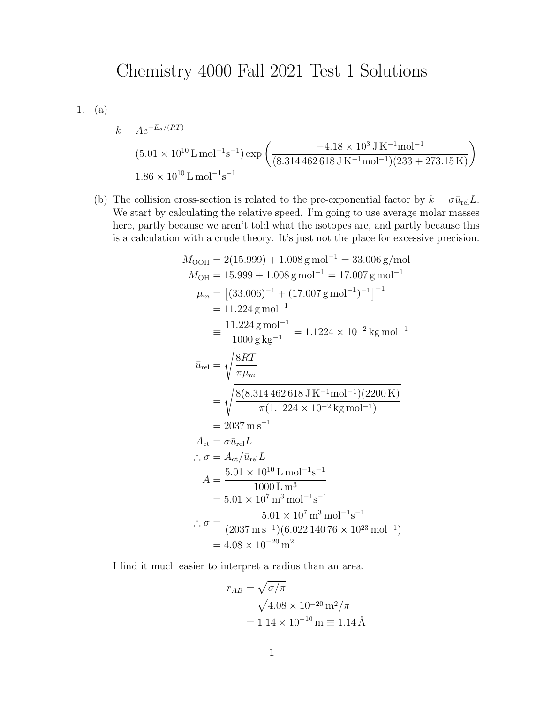## Chemistry 4000 Fall 2021 Test 1 Solutions

1. (a)

$$
k = Ae^{-E_a/(RT)}
$$
  
=  $(5.01 \times 10^{10} \text{ L mol}^{-1} \text{s}^{-1}) \exp\left(\frac{-4.18 \times 10^3 \text{ J K}^{-1} \text{mol}^{-1}}{(8.314462618 \text{ J K}^{-1} \text{mol}^{-1})(233 + 273.15 \text{ K})}\right)$   
=  $1.86 \times 10^{10} \text{ L mol}^{-1} \text{s}^{-1}$ 

(b) The collision cross-section is related to the pre-exponential factor by  $k = \sigma \bar{u}_{rel}L$ . We start by calculating the relative speed. I'm going to use average molar masses here, partly because we aren't told what the isotopes are, and partly because this is a calculation with a crude theory. It's just not the place for excessive precision.

$$
M_{\text{OOH}} = 2(15.999) + 1.008 \text{ g mol}^{-1} = 33.006 \text{ g/mol}
$$
  
\n
$$
M_{\text{OH}} = 15.999 + 1.008 \text{ g mol}^{-1} = 17.007 \text{ g mol}^{-1}
$$
  
\n
$$
\mu_m = [(33.006)^{-1} + (17.007 \text{ g mol}^{-1})^{-1}]^{-1}
$$
  
\n
$$
= 11.224 \text{ g mol}^{-1}
$$
  
\n
$$
\overline{u}_{\text{rel}} = \frac{11.224 \text{ g mol}^{-1}}{1000 \text{ g kg}^{-1}} = 1.1224 \times 10^{-2} \text{ kg mol}^{-1}
$$
  
\n
$$
\overline{u}_{\text{rel}} = \sqrt{\frac{8RT}{\pi \mu_m}}
$$
  
\n
$$
= \sqrt{\frac{8(8.314462618 \text{ J K}^{-1} \text{mol}^{-1})(2200 \text{ K})}{\pi (1.1224 \times 10^{-2} \text{ kg mol}^{-1})}}
$$
  
\n
$$
= 2037 \text{ m s}^{-1}
$$
  
\n
$$
A_{\text{ct}} = \sigma \overline{u}_{\text{rel}} L
$$
  
\n
$$
\therefore \sigma = A_{\text{ct}} / \overline{u}_{\text{rel}} L
$$
  
\n
$$
A = \frac{5.01 \times 10^{10} \text{ L mol}^{-1} \text{s}^{-1}}{1000 \text{ L m}^3}
$$
  
\n
$$
= 5.01 \times 10^7 \text{ m}^3 \text{ mol}^{-1} \text{s}^{-1}
$$
  
\n
$$
\therefore \sigma = \frac{5.01 \times 10^7 \text{ m}^3 \text{ mol}^{-1} \text{s}^{-1}}{(2037 \text{ m s}^{-1})(6.02214076 \times 10^{23} \text{ mol}^{-1})}
$$
  
\n
$$
= 4.08 \times 10^{-20} \text{ m}^2
$$

I find it much easier to interpret a radius than an area.

$$
r_{AB} = \sqrt{\sigma/\pi}
$$
  
=  $\sqrt{4.08 \times 10^{-20} \text{ m}^2/\pi}$   
= 1.14 × 10<sup>-10</sup> m = 1.14 Å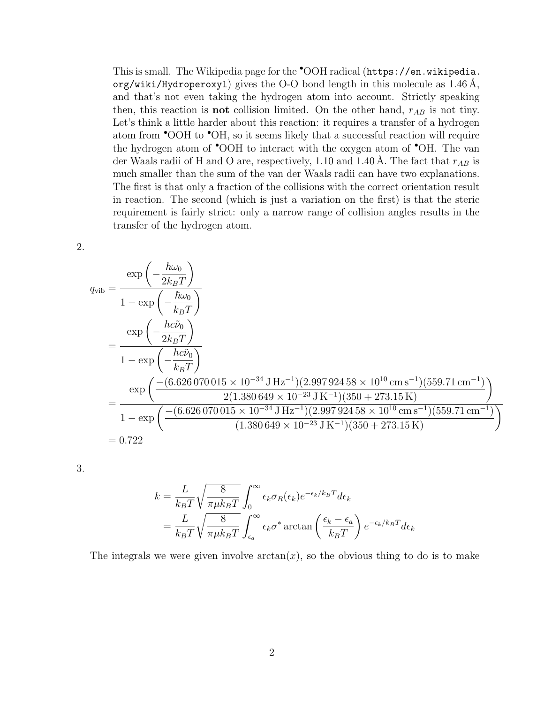This is small. The Wikipedia page for the •OOH radical ([https://en.wikipedia.](https://en.wikipedia.org/wiki/Hydroperoxyl) org/wiki/Hydroperoxy1) gives the O-O bond length in this molecule as  $1.46$  Å, and that's not even taking the hydrogen atom into account. Strictly speaking then, this reaction is **not** collision limited. On the other hand,  $r_{AB}$  is not tiny. Let's think a little harder about this reaction: it requires a transfer of a hydrogen atom from •OOH to •OH, so it seems likely that a successful reaction will require the hydrogen atom of •OOH to interact with the oxygen atom of •OH. The van der Waals radii of H and O are, respectively, 1.10 and 1.40 Å. The fact that  $r_{AB}$  is much smaller than the sum of the van der Waals radii can have two explanations. The first is that only a fraction of the collisions with the correct orientation result in reaction. The second (which is just a variation on the first) is that the steric requirement is fairly strict: only a narrow range of collision angles results in the transfer of the hydrogen atom.

2.

$$
q_{\text{vib}} = \frac{\exp\left(-\frac{\hbar\omega_{0}}{2k_{B}T}\right)}{1 - \exp\left(-\frac{\hbar\omega_{0}}{k_{B}T}\right)}
$$
  
= 
$$
\frac{\exp\left(-\frac{hc\tilde{\nu}_{0}}{2k_{B}T}\right)}{1 - \exp\left(-\frac{hc\tilde{\nu}_{0}}{k_{B}T}\right)}
$$
  
= 
$$
\frac{\exp\left(\frac{-(6.626070015 \times 10^{-34} \text{ J Hz}^{-1})(2.99792458 \times 10^{10} \text{ cm s}^{-1})(559.71 \text{ cm}^{-1})}{2(1.380649 \times 10^{-23} \text{ J K}^{-1})(350 + 273.15 \text{ K})}\right)}
$$
  
= 
$$
\frac{\exp\left(\frac{-(6.626070015 \times 10^{-34} \text{ J Hz}^{-1})(2.99792458 \times 10^{10} \text{ cm s}^{-1})(559.71 \text{ cm}^{-1})}{1 - \exp\left(\frac{-(6.626070015 \times 10^{-34} \text{ J Hz}^{-1})(2.99792458 \times 10^{10} \text{ cm s}^{-1})(559.71 \text{ cm}^{-1})}{(1.380649 \times 10^{-23} \text{ J K}^{-1})(350 + 273.15 \text{ K})}\right)}
$$

3.

$$
k = \frac{L}{k_B T} \sqrt{\frac{8}{\pi \mu k_B T}} \int_0^\infty \epsilon_k \sigma_R(\epsilon_k) e^{-\epsilon_k / k_B T} d\epsilon_k
$$
  
=  $\frac{L}{k_B T} \sqrt{\frac{8}{\pi \mu k_B T}} \int_{\epsilon_a}^\infty \epsilon_k \sigma^* \arctan\left(\frac{\epsilon_k - \epsilon_a}{k_B T}\right) e^{-\epsilon_k / k_B T} d\epsilon_k$ 

The integrals we were given involve  $arctan(x)$ , so the obvious thing to do is to make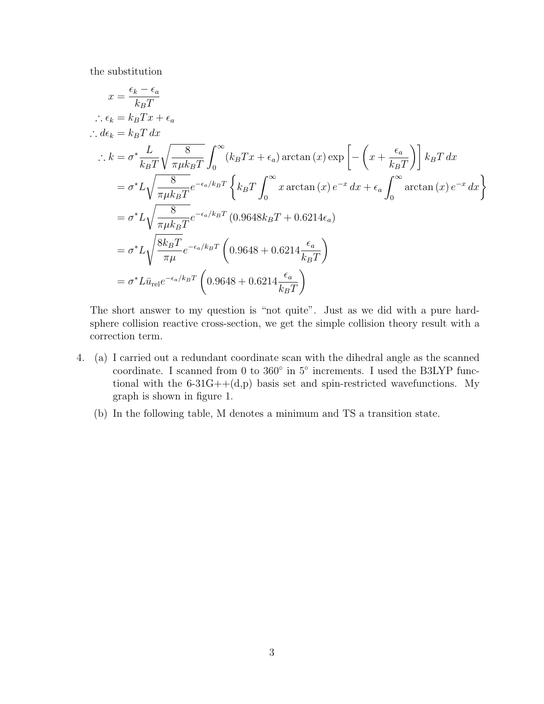the substitution

$$
x = \frac{\epsilon_k - \epsilon_a}{k_B T}
$$
  
\n
$$
\therefore \epsilon_k = k_B T x + \epsilon_a
$$
  
\n
$$
\therefore d\epsilon_k = k_B T dx
$$
  
\n
$$
\therefore k = \sigma^* \frac{L}{k_B T} \sqrt{\frac{8}{\pi \mu k_B T}} \int_0^\infty (k_B T x + \epsilon_a) \arctan(x) \exp\left[ -\left( x + \frac{\epsilon_a}{k_B T} \right) \right] k_B T dx
$$
  
\n
$$
= \sigma^* L \sqrt{\frac{8}{\pi \mu k_B T}} e^{-\epsilon_a / k_B T} \left\{ k_B T \int_0^\infty x \arctan(x) e^{-x} dx + \epsilon_a \int_0^\infty \arctan(x) e^{-x} dx \right\}
$$
  
\n
$$
= \sigma^* L \sqrt{\frac{8}{\pi \mu k_B T}} e^{-\epsilon_a / k_B T} (0.9648 k_B T + 0.6214 \epsilon_a)
$$
  
\n
$$
= \sigma^* L \sqrt{\frac{8k_B T}{\pi \mu}} e^{-\epsilon_a / k_B T} \left( 0.9648 + 0.6214 \frac{\epsilon_a}{k_B T} \right)
$$
  
\n
$$
= \sigma^* L \bar{u}_{rel} e^{-\epsilon_a / k_B T} \left( 0.9648 + 0.6214 \frac{\epsilon_a}{k_B T} \right)
$$

The short answer to my question is "not quite". Just as we did with a pure hardsphere collision reactive cross-section, we get the simple collision theory result with a correction term.

- 4. (a) I carried out a redundant coordinate scan with the dihedral angle as the scanned coordinate. I scanned from 0 to 360° in 5° increments. I used the B3LYP functional with the  $6-31G++(d,p)$  basis set and spin-restricted wavefunctions. My graph is shown in figure [1.](#page-3-0)
	- (b) In the following table, M denotes a minimum and TS a transition state.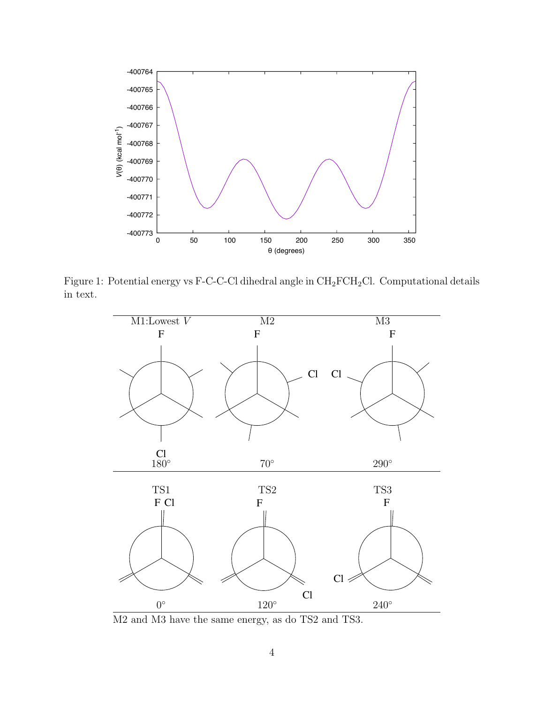

Figure 1: Potential energy vs F-C-C-Cl dihedral angle in  $\rm CH_2FCH_2Cl.$  Computational details in text.

<span id="page-3-0"></span>

M2 and M3 have the same energy, as do TS2 and TS3.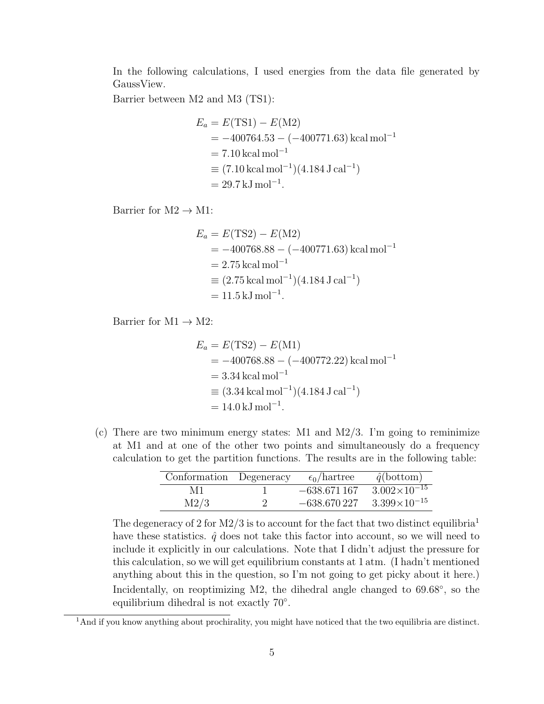In the following calculations, I used energies from the data file generated by GaussView.

Barrier between M2 and M3 (TS1):

$$
E_a = E(TS1) - E(M2)
$$
  
= -400764.53 - (-400771.63) kcal mol<sup>-1</sup>  
= 7.10 kcal mol<sup>-1</sup>  

$$
\equiv (7.10 kcal mol-1)(4.184 J cal-1)
$$
  
= 29.7 kJ mol<sup>-1</sup>.

Barrier for  $M2 \rightarrow M1$ :

$$
E_a = E(TS2) - E(M2)
$$
  
= -400768.88 - (-400771.63) kcal mol<sup>-1</sup>  
= 2.75 kcal mol<sup>-1</sup>  

$$
\equiv (2.75 kcal mol-1)(4.184 J cal-1)
$$
  
= 11.5 kJ mol<sup>-1</sup>.

Barrier for  $M1 \rightarrow M2$ :

$$
E_a = E(TS2) - E(M1)
$$
  
= -400768.88 - (-400772.22) kcal mol<sup>-1</sup>  
= 3.34 kcal mol<sup>-1</sup>  

$$
\equiv (3.34 kcal mol-1)(4.184 J cal-1)
$$
  
= 14.0 kJ mol<sup>-1</sup>.

(c) There are two minimum energy states: M1 and M2/3. I'm going to reminimize at M1 and at one of the other two points and simultaneously do a frequency calculation to get the partition functions. The results are in the following table:

| Conformation Degeneracy |                      | $\epsilon_0$ /hartree | $\hat{q}(\text{bottom})$ |
|-------------------------|----------------------|-----------------------|--------------------------|
| M1                      |                      | $-638.671167$         | $3.002\times10^{-15}$    |
| M2/3                    | $\ddot{\phantom{0}}$ | $-638.670227$         | $3.399\times10^{-15}$    |

The degeneracy of 2 for  $M2/3$  is to account for the fact that two distinct equilibria<sup>[1](#page-4-0)</sup> have these statistics.  $\hat{q}$  does not take this factor into account, so we will need to include it explicitly in our calculations. Note that I didn't adjust the pressure for this calculation, so we will get equilibrium constants at 1 atm. (I hadn't mentioned anything about this in the question, so I'm not going to get picky about it here.) Incidentally, on reoptimizing M2, the dihedral angle changed to  $69.68°$ , so the equilibrium dihedral is not exactly 70°.

<span id="page-4-0"></span><sup>&</sup>lt;sup>1</sup>And if you know anything about prochirality, you might have noticed that the two equilibria are distinct.